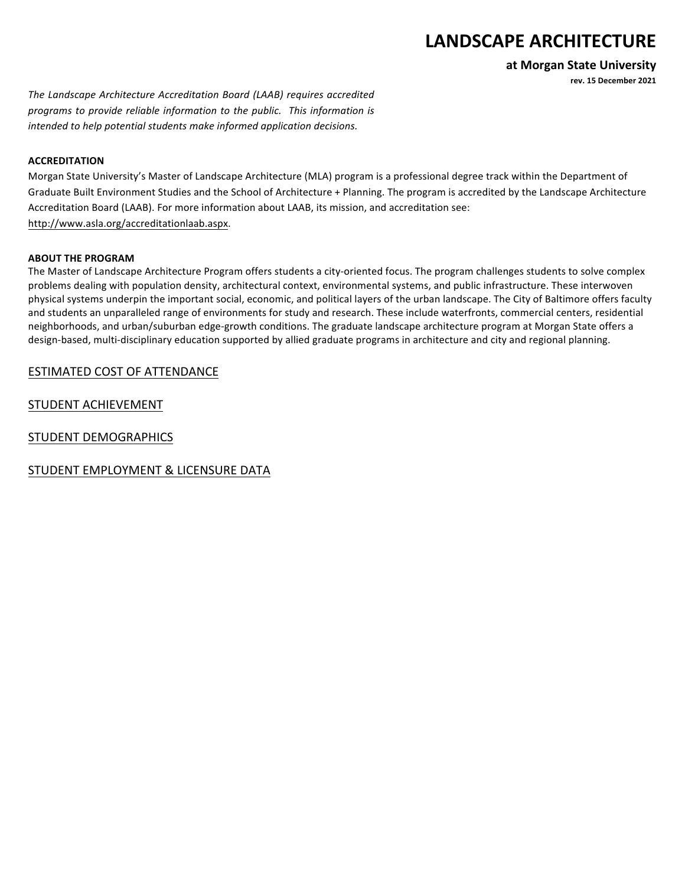# LANDSCAPE ARCHITECTURE

**at Morgan State University**

**rev. 15 December 2021**

The Landscape Architecture Accreditation Board (LAAB) requires accredited programs to provide reliable information to the public. This information is *intended to help potential students make informed application decisions.* 

#### **ACCREDITATION**

Morgan State University's Master of Landscape Architecture (MLA) program is a professional degree track within the Department of Graduate Built Environment Studies and the School of Architecture + Planning. The program is accredited by the Landscape Architecture Accreditation Board (LAAB). For more information about LAAB, its mission, and accreditation see: http://www.asla.org/accreditationlaab.aspx.

#### **ABOUT THE PROGRAM**

The Master of Landscape Architecture Program offers students a city-oriented focus. The program challenges students to solve complex problems dealing with population density, architectural context, environmental systems, and public infrastructure. These interwoven physical systems underpin the important social, economic, and political layers of the urban landscape. The City of Baltimore offers faculty and students an unparalleled range of environments for study and research. These include waterfronts, commercial centers, residential neighborhoods, and urban/suburban edge-growth conditions. The graduate landscape architecture program at Morgan State offers a design-based, multi-disciplinary education supported by allied graduate programs in architecture and city and regional planning.

## ESTIMATED COST OF ATTENDANCE

STUDENT ACHIEVEMENT

STUDENT DEMOGRAPHICS

STUDENT EMPLOYMENT & LICENSURE DATA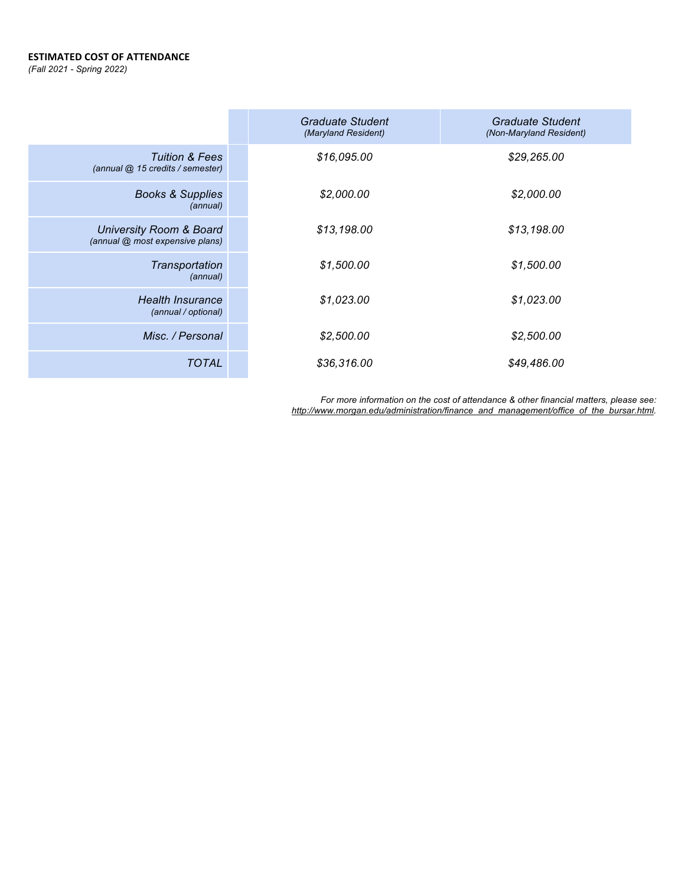#### **ESTIMATED COST OF ATTENDANCE**

*(Fall 2021 - Spring 2022)*

|                                                                       | <b>Graduate Student</b><br>(Maryland Resident) | <b>Graduate Student</b><br>(Non-Maryland Resident) |
|-----------------------------------------------------------------------|------------------------------------------------|----------------------------------------------------|
| <b>Tuition &amp; Fees</b><br>(annual @ 15 credits / semester)         | \$16,095.00                                    | \$29,265.00                                        |
| <b>Books &amp; Supplies</b><br>(annual)                               | \$2,000.00                                     | \$2,000.00                                         |
| <b>University Room &amp; Board</b><br>(annual @ most expensive plans) | \$13,198.00                                    | \$13,198.00                                        |
| Transportation<br>(annual)                                            | \$1,500.00                                     | \$1,500.00                                         |
| <b>Health Insurance</b><br>(annual / optional)                        | \$1,023.00                                     | \$1,023.00                                         |
| Misc. / Personal                                                      | \$2,500.00                                     | \$2,500.00                                         |
| <b>TOTAL</b>                                                          | \$36,316.00                                    | \$49,486.00                                        |

*For more information on the cost of attendance & other financial matters, please see: http://www.morgan.edu/administration/finance\_and\_management/office\_of\_the\_bursar.html.*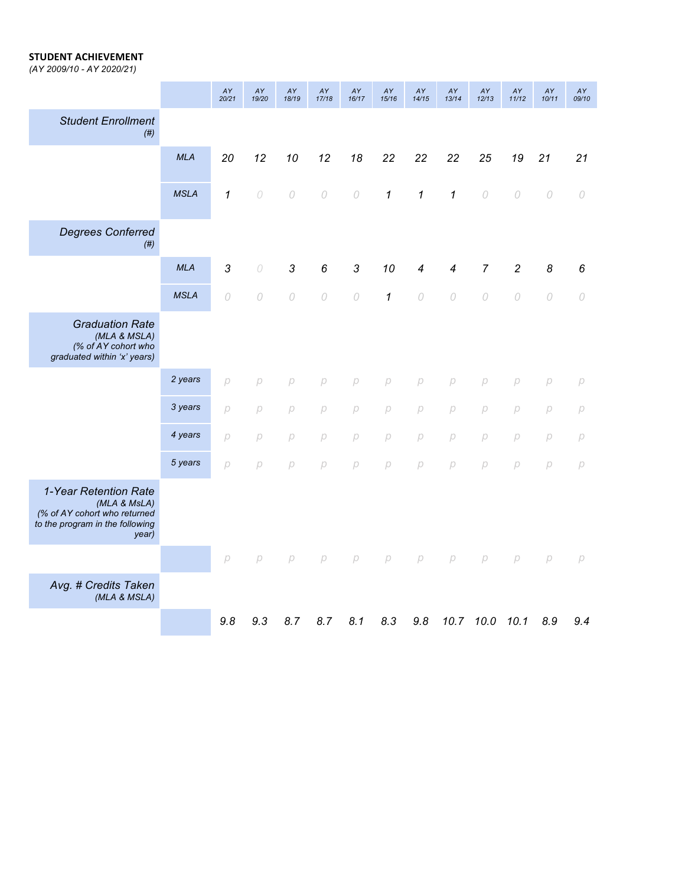#### **STUDENT ACHIEVEMENT**

*(AY 2009/10 - AY 2020/21)*

|                                                                                                                   |             | AY<br>20/21       | AY<br>19/20    | AY<br>18/19 | AY<br>17/18    | AY<br>16/17    | AY<br>15/16       | AY<br>14/15       | AY<br>13/14              | AY<br>12/13    | AY<br>11/12    | AY<br>10/11 | AY<br>09/10 |
|-------------------------------------------------------------------------------------------------------------------|-------------|-------------------|----------------|-------------|----------------|----------------|-------------------|-------------------|--------------------------|----------------|----------------|-------------|-------------|
| <b>Student Enrollment</b><br>(# )                                                                                 |             |                   |                |             |                |                |                   |                   |                          |                |                |             |             |
|                                                                                                                   | <b>MLA</b>  | 20                | 12             | 10          | 12             | 18             | 22                | 22                | 22                       | 25             | 19             | 21          | 21          |
|                                                                                                                   | <b>MSLA</b> | $\mathbf 1$       | $\cal O$       | $\cal O$    | $\cal O$       | $\cal O$       | 1                 | 1                 | $\mathbf{1}$             | $\cal O$       | 0              | $\cal O$    | $\cal O$    |
| <b>Degrees Conferred</b><br>(# )                                                                                  |             |                   |                |             |                |                |                   |                   |                          |                |                |             |             |
|                                                                                                                   | <b>MLA</b>  | 3                 | $\cal O$       | 3           | 6              | $\mathfrak{Z}$ | 10                | 4                 | $\overline{\mathcal{A}}$ | $\overline{7}$ | $\overline{c}$ | 8           | 6           |
|                                                                                                                   | <b>MSLA</b> | 0                 | $\overline{O}$ | 0           | $\overline{O}$ | $\overline{O}$ | $\mathcal I$      | $\overline{O}$    | $\mathcal{O}$            | $\cal O$       | $\overline{O}$ | 0           | $\cal O$    |
| <b>Graduation Rate</b><br>(MLA & MSLA)<br>(% of AY cohort who<br>graduated within 'x' years)                      |             |                   |                |             |                |                |                   |                   |                          |                |                |             |             |
|                                                                                                                   | 2 years     | $\overline{\rho}$ | $\beta$        | $\setminus$ | $\overline{D}$ | $\beta$        | $\overline{\rho}$ | $\overline{\rho}$ | $\overline{\rho}$        | $\beta$        | $\beta$        | $\beta$     | $\beta{}$   |
|                                                                                                                   | 3 years     | р                 | $\beta$        | p           | $\beta$        | $\beta$        | $\beta$           | p                 | $\beta{}$                | $\beta$        | $\beta$        | p           | $\beta$     |
|                                                                                                                   | 4 years     | p                 | p              | p           | $\beta$        | $\beta$        | $\beta$           | $\beta$           | $\beta{}$                | $\beta$        | $\beta$        | p           | $\beta$     |
|                                                                                                                   | 5 years     | p                 | p              | p           | $\beta$        | $\beta$        | $\beta$           | p                 | $\beta{}$                | p              | $\beta$        | $\beta$     | $\beta{}$   |
| 1-Year Retention Rate<br>(MLA & MsLA)<br>(% of AY cohort who returned<br>to the program in the following<br>year) |             |                   |                |             |                |                |                   |                   |                          |                |                |             |             |
|                                                                                                                   |             | $\beta$           | p              | р           | $\beta$        | $\beta$        | $\beta$           | $\beta$           | $\beta$                  | $\beta$        | p              | р           | $\beta$     |
| Avg. # Credits Taken<br>(MLA & MSLA)                                                                              |             |                   |                |             |                |                |                   |                   |                          |                |                |             |             |
|                                                                                                                   |             | 9.8               | 9.3            | 8.7         | 8.7            | 8.1            | 8.3               | 9.8               | 10.7                     | 10.0           | 10.1           | 8.9         | 9.4         |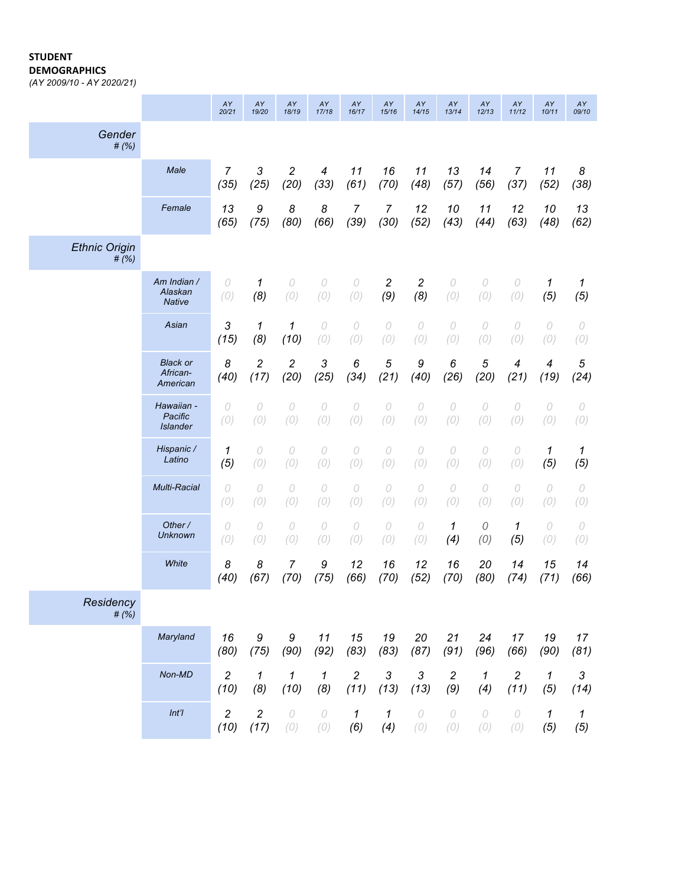#### **STUDENT**

**DEMOGRAPHICS**

*(AY 2009/10 - AY 2020/21)*

|                                          | AY<br>20/21            | AY<br>19/20            | AY<br>18/19            | AY<br>17/18                      | AY<br>16/17 | AY<br>15/16           | AY<br>14/15                    | AY<br>13/14     | AY<br>12/13       | AY<br>11/12                      | AY<br>10/11 | AY<br>09/10        |
|------------------------------------------|------------------------|------------------------|------------------------|----------------------------------|-------------|-----------------------|--------------------------------|-----------------|-------------------|----------------------------------|-------------|--------------------|
|                                          |                        |                        |                        |                                  |             |                       |                                |                 |                   |                                  |             |                    |
| Male                                     | $\overline{7}$<br>(35) | 3<br>(25)              | $\sqrt{2}$<br>(20)     | $\overline{\mathcal{A}}$<br>(33) | 11<br>(61)  | 16<br>(70)            | 11<br>(48)                     | 13<br>(57)      | 14<br>(56)        | $\overline{7}$<br>(37)           | 11<br>(52)  | 8<br>(38)          |
| Female                                   | 13<br>(65)             | 9<br>(75)              | 8<br>(80)              | 8<br>(66)                        | 7<br>(39)   | 7<br>(30)             | 12<br>(52)                     | 10<br>(43)      | 11<br>(44)        | 12<br>(63)                       | 10<br>(48)  | 13<br>(62)         |
|                                          |                        |                        |                        |                                  |             |                       |                                |                 |                   |                                  |             |                    |
| Am Indian /<br>Alaskan<br><b>Native</b>  | 0<br>(0)               | 1<br>(8)               | 0<br>(0)               | 0<br>(0)                         | 0<br>(0)    | $\overline{c}$<br>(9) | $\overline{\mathbf{c}}$<br>(8) | $\cal O$<br>(0) | 0<br>(0)          | 0<br>(0)                         | 1<br>(5)    | 1<br>(5)           |
| Asian                                    | 3<br>(15)              | 1<br>(8)               | 1<br>(10)              | 0<br>(0)                         | 0<br>(0)    | 0<br>(0)              | 0<br>(0)                       | 0<br>(0)        | $\cal O$<br>(0)   | 0<br>(0)                         | 0<br>(0)    | 0<br>(0)           |
| <b>Black or</b><br>African-<br>American  | 8<br>(40)              | $\overline{c}$<br>(17) | $\overline{c}$<br>(20) | 3<br>(25)                        | 6<br>(34)   | 5<br>(21)             | 9<br>(40)                      | 6<br>(26)       | 5<br>(20)         | $\overline{\mathcal{A}}$<br>(21) | 4<br>(19)   | $\sqrt{5}$<br>(24) |
| Hawaiian -<br>Pacific<br><b>Islander</b> | 0<br>(0)               | 0<br>(0)               | 0<br>(0)               | 0<br>(0)                         | 0<br>(0)    | 0<br>(0)              | 0<br>(0)                       | 0<br>(0)        | 0<br>(0)          | 0<br>(0)                         | 0<br>(0)    | 0<br>(0)           |
| Hispanic /<br>Latino                     | 1<br>(5)               | 0<br>(0)               | 0<br>(0)               | 0<br>(0)                         | 0<br>(0)    | 0<br>(0)              | 0<br>(0)                       | 0<br>(0)        | 0<br>(0)          | 0<br>(0)                         | 1<br>(5)    | 1<br>(5)           |
| Multi-Racial                             | 0<br>(0)               | 0<br>(0)               | 0<br>(0)               | 0<br>(0)                         | 0<br>(0)    | 0<br>(0)              | 0<br>(0)                       | 0<br>(0)        | 0<br>(0)          | 0<br>(0)                         | 0<br>(0)    | 0<br>(0)           |
| Other /<br><b>Unknown</b>                | 0<br>(0)               | 0<br>(0)               | 0<br>(0)               | 0<br>(0)                         | 0<br>(0)    | 0<br>(0)              | 0<br>(0)                       | 1<br>(4)        | ${\cal O}$<br>(0) | 1<br>(5)                         | 0<br>(0)    | 0<br>(0)           |
| White                                    | 8<br>(40)              | 8<br>(67)              | 7<br>(70)              | 9<br>(75)                        | 12<br>(66)  | 16<br>(70)            | 12<br>(52)                     | 16<br>(70)      | 20<br>(80)        | 14<br>(74)                       | 15<br>(71)  | 14<br>(66)         |
|                                          |                        |                        |                        |                                  |             |                       |                                |                 |                   |                                  |             |                    |
| Maryland                                 | 16<br>(80)             | 9<br>(75)              | 9<br>(90)              | 11<br>(92)                       | 15<br>(83)  | 19<br>(83)            | 20<br>(87)                     | 21<br>(91)      | 24<br>(96)        | 17<br>(66)                       | 19<br>(90)  | 17<br>(81)         |
|                                          | 2                      | 1                      | 1                      | 1                                | 2           | 3                     | $\ensuremath{\mathsf{3}}$      | 2               | 1                 | $\sqrt{2}$                       | 1           | 3                  |
|                                          | (10)                   | (8)                    | (10)                   | (8)                              | (11)        | (13)                  | (13)                           | (9)             | (4)               | (11)                             | (5)         | (14)               |
|                                          | Non-MD                 |                        |                        |                                  |             |                       |                                |                 |                   |                                  |             |                    |